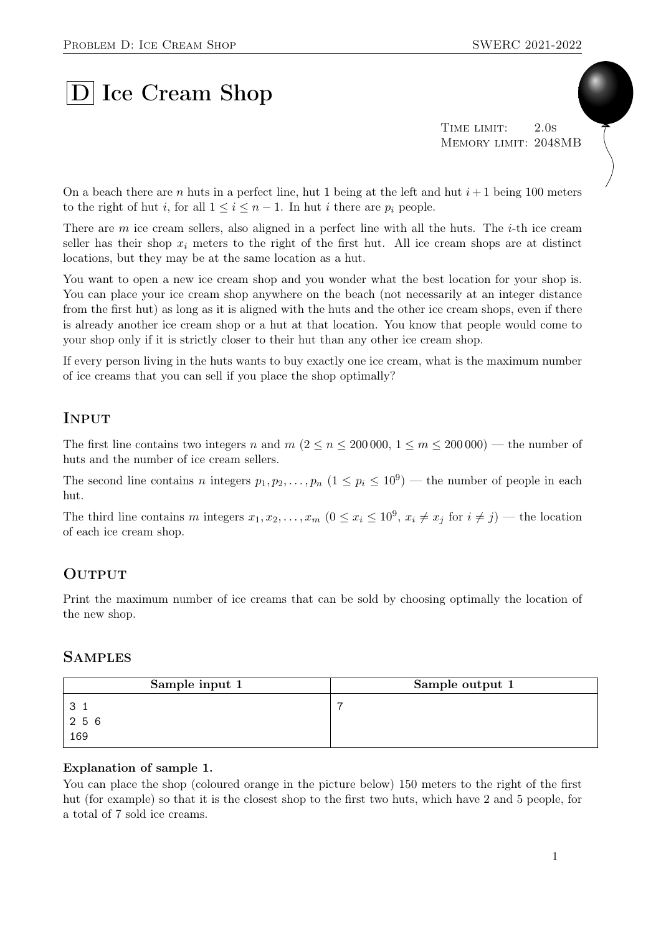# D Ice Cream Shop

TIME LIMIT: 2.0s Memory limit: 2048MB

On a beach there are n huts in a perfect line, hut 1 being at the left and hut  $i+1$  being 100 meters to the right of hut i, for all  $1 \leq i \leq n-1$ . In hut i there are  $p_i$  people.

There are m ice cream sellers, also aligned in a perfect line with all the huts. The *i*-th ice cream seller has their shop  $x_i$  meters to the right of the first hut. All ice cream shops are at distinct locations, but they may be at the same location as a hut.

You want to open a new ice cream shop and you wonder what the best location for your shop is. You can place your ice cream shop anywhere on the beach (not necessarily at an integer distance from the first hut) as long as it is aligned with the huts and the other ice cream shops, even if there is already another ice cream shop or a hut at that location. You know that people would come to your shop only if it is strictly closer to their hut than any other ice cream shop.

If every person living in the huts wants to buy exactly one ice cream, what is the maximum number of ice creams that you can sell if you place the shop optimally?

## **INPUT**

The first line contains two integers n and  $m (2 \le n \le 200000, 1 \le m \le 200000)$  — the number of huts and the number of ice cream sellers.

The second line contains n integers  $p_1, p_2, \ldots, p_n$   $(1 \leq p_i \leq 10^9)$  — the number of people in each hut.

The third line contains m integers  $x_1, x_2, \ldots, x_m$   $(0 \le x_i \le 10^9, x_i \ne x_j \text{ for } i \ne j)$  — the location of each ice cream shop.

## **OUTPUT**

Print the maximum number of ice creams that can be sold by choosing optimally the location of the new shop.

### **SAMPLES**

| Sample input 1 | Sample output 1 |
|----------------|-----------------|
|                | -               |
| 256            |                 |
| 169            |                 |

#### Explanation of sample 1.

You can place the shop (coloured orange in the picture below) 150 meters to the right of the first hut (for example) so that it is the closest shop to the first two huts, which have 2 and 5 people, for a total of 7 sold ice creams.